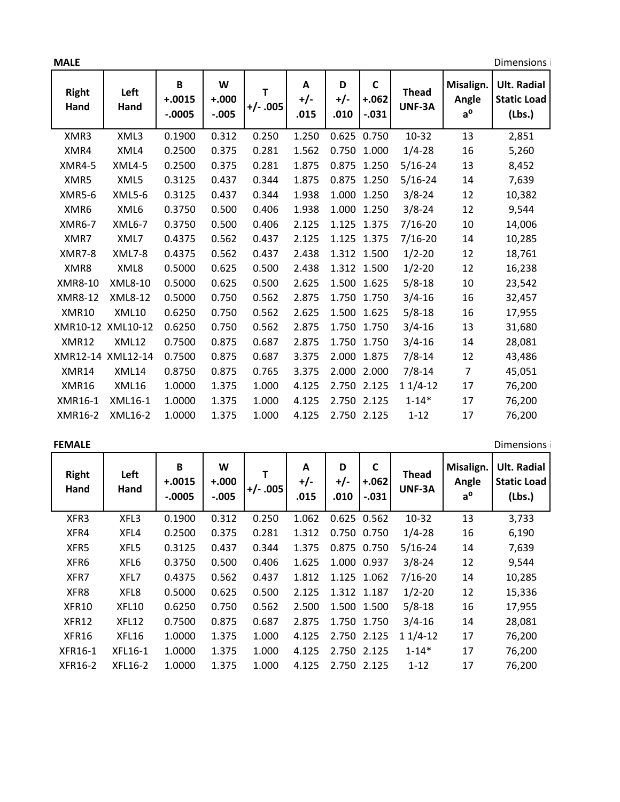| <b>MALE</b>          |                   |                           |                         |                |                  |                  |                                    |                        |                                   | Dimensions i                                       |  |
|----------------------|-------------------|---------------------------|-------------------------|----------------|------------------|------------------|------------------------------------|------------------------|-----------------------------------|----------------------------------------------------|--|
| <b>Right</b><br>Hand | Left<br>Hand      | B<br>$+.0015$<br>$-.0005$ | W<br>$+.000$<br>$-.005$ | т<br>$+/-.005$ | A<br>+/-<br>.015 | D<br>+/-<br>.010 | $\mathsf{C}$<br>$+.062$<br>$-.031$ | <b>Thead</b><br>UNF-3A | Misalign.<br>Angle<br>$a^{\rm o}$ | <b>Ult. Radial</b><br><b>Static Load</b><br>(Lbs.) |  |
| XMR3                 | XML3              | 0.1900                    | 0.312                   | 0.250          | 1.250            |                  | 0.625 0.750                        | 10-32                  | 13                                | 2,851                                              |  |
| XMR4                 | XML4              | 0.2500                    | 0.375                   | 0.281          | 1.562            |                  | 0.750 1.000                        | $1/4 - 28$             | 16                                | 5,260                                              |  |
| <b>XMR4-5</b>        | <b>XML4-5</b>     | 0.2500                    | 0.375                   | 0.281          | 1.875            |                  | 0.875 1.250                        | $5/16 - 24$            | 13                                | 8,452                                              |  |
| XMR5                 | XML5              | 0.3125                    | 0.437                   | 0.344          | 1.875            |                  | 0.875 1.250                        | $5/16 - 24$            | 14                                | 7,639                                              |  |
| <b>XMR5-6</b>        | <b>XML5-6</b>     | 0.3125                    | 0.437                   | 0.344          | 1.938            |                  | 1.000 1.250                        | $3/8 - 24$             | 12                                | 10,382                                             |  |
| XMR6                 | XML6              | 0.3750                    | 0.500                   | 0.406          | 1.938            |                  | 1.000 1.250                        | $3/8 - 24$             | 12                                | 9,544                                              |  |
| <b>XMR6-7</b>        | <b>XML6-7</b>     | 0.3750                    | 0.500                   | 0.406          | 2.125            |                  | 1.125 1.375                        | $7/16 - 20$            | 10                                | 14,006                                             |  |
| XMR7                 | XML7              | 0.4375                    | 0.562                   | 0.437          | 2.125            |                  | 1.125 1.375                        | $7/16 - 20$            | 14                                | 10,285                                             |  |
| <b>XMR7-8</b>        | <b>XML7-8</b>     | 0.4375                    | 0.562                   | 0.437          | 2.438            |                  | 1.312 1.500                        | $1/2 - 20$             | 12                                | 18,761                                             |  |
| XMR8                 | XML8              | 0.5000                    | 0.625                   | 0.500          | 2.438            |                  | 1.312 1.500                        | $1/2 - 20$             | 12                                | 16,238                                             |  |
| XMR8-10              | XML8-10           | 0.5000                    | 0.625                   | 0.500          | 2.625            | 1.500            | 1.625                              | $5/8 - 18$             | 10                                | 23,542                                             |  |
| XMR8-12              | XML8-12           | 0.5000                    | 0.750                   | 0.562          | 2.875            |                  | 1.750 1.750                        | $3/4 - 16$             | 16                                | 32,457                                             |  |
| XMR10                | <b>XML10</b>      | 0.6250                    | 0.750                   | 0.562          | 2.625            |                  | 1.500 1.625                        | $5/8 - 18$             | 16                                | 17,955                                             |  |
|                      | XMR10-12 XML10-12 | 0.6250                    | 0.750                   | 0.562          | 2.875            |                  | 1.750 1.750                        | $3/4 - 16$             | 13                                | 31,680                                             |  |
| XMR12                | XML12             | 0.7500                    | 0.875                   | 0.687          | 2.875            |                  | 1.750 1.750                        | $3/4 - 16$             | 14                                | 28,081                                             |  |
|                      | XMR12-14 XML12-14 | 0.7500                    | 0.875                   | 0.687          | 3.375            |                  | 2.000 1.875                        | $7/8 - 14$             | 12                                | 43,486                                             |  |
| XMR14                | XML14             | 0.8750                    | 0.875                   | 0.765          | 3.375            | 2.000            | 2.000                              | $7/8 - 14$             | $\overline{7}$                    | 45,051                                             |  |
| XMR16                | XML16             | 1.0000                    | 1.375                   | 1.000          | 4.125            |                  | 2.750 2.125                        | $11/4-12$              | 17                                | 76,200                                             |  |
| XMR16-1              | XML16-1           | 1.0000                    | 1.375                   | 1.000          | 4.125            |                  | 2.750 2.125                        | $1 - 14*$              | 17                                | 76,200                                             |  |
| XMR16-2              | XML16-2           | 1.0000                    | 1.375                   | 1.000          | 4.125            |                  | 2.750 2.125                        | $1 - 12$               | 17                                | 76,200                                             |  |
|                      |                   |                           |                         |                |                  |                  |                                    |                        |                                   |                                                    |  |

|  | EMAI |  |
|--|------|--|
|--|------|--|

**Dimensions** i

| Right<br>Hand | Left<br>Hand | B<br>$+.0015$<br>$-.0005$ | W<br>$+.000$<br>$-.005$ | $+/- .005$ | A<br>$+/-$<br>.015 | D<br>$+/-$<br>.010 | C<br>$+.062$<br>$-.031$ | <b>Thead</b><br>UNF-3A | Misalign.<br>Angle<br>$a^{\rm o}$ | <b>Ult. Radial</b><br><b>Static Load</b><br>(Lbs.) |
|---------------|--------------|---------------------------|-------------------------|------------|--------------------|--------------------|-------------------------|------------------------|-----------------------------------|----------------------------------------------------|
| XFR3          | XFL3         | 0.1900                    | 0.312                   | 0.250      | 1.062              | 0.625              | 0.562                   | 10-32                  | 13                                | 3,733                                              |
| XFR4          | XFL4         | 0.2500                    | 0.375                   | 0.281      | 1.312              | 0.750              | 0.750                   | $1/4 - 28$             | 16                                | 6,190                                              |
| XFR5          | XFL5         | 0.3125                    | 0.437                   | 0.344      | 1.375              |                    | 0.875 0.750             | $5/16 - 24$            | 14                                | 7,639                                              |
| XFR6          | XFL6         | 0.3750                    | 0.500                   | 0.406      | 1.625              | 1.000              | 0.937                   | $3/8 - 24$             | 12                                | 9,544                                              |
| XFR7          | XFL7         | 0.4375                    | 0.562                   | 0.437      | 1.812              | 1.125 1.062        |                         | $7/16 - 20$            | 14                                | 10,285                                             |
| XFR8          | XFL8         | 0.5000                    | 0.625                   | 0.500      | 2.125              | 1.312 1.187        |                         | $1/2 - 20$             | 12                                | 15,336                                             |
| XFR10         | <b>XFL10</b> | 0.6250                    | 0.750                   | 0.562      | 2.500              | 1.500              | 1.500                   | $5/8 - 18$             | 16                                | 17,955                                             |
| XFR12         | XFL12        | 0.7500                    | 0.875                   | 0.687      | 2.875              | 1.750              | 1.750                   | $3/4 - 16$             | 14                                | 28,081                                             |
| XFR16         | XFL16        | 1.0000                    | 1.375                   | 1.000      | 4.125              | 2.750              | 2.125                   | $11/4-12$              | 17                                | 76,200                                             |
| XFR16-1       | XFL16-1      | 1.0000                    | 1.375                   | 1.000      | 4.125              | 2.750              | 2.125                   | $1 - 14*$              | 17                                | 76,200                                             |
| XFR16-2       | XFL16-2      | 1.0000                    | 1.375                   | 1.000      | 4.125              | 2.750              | 2.125                   | $1 - 12$               | 17                                | 76,200                                             |